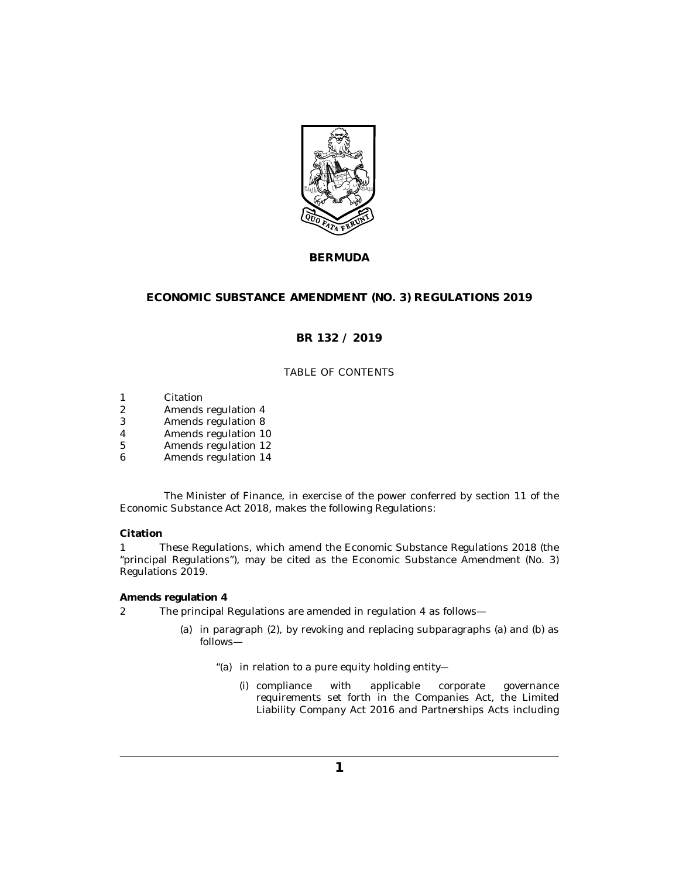

# **BERMUDA**

## **ECONOMIC SUBSTANCE AMENDMENT (NO. 3) REGULATIONS 2019**

## **BR 132 / 2019**

## TABLE OF CONTENTS

- Citation 1
- Amends regulation 4 2
- [Amends regulation 8](#page-1-0) 3
- [Amends regulation 10](#page-1-0) 4
- [Amends regulation 12](#page-2-0) 5
- [Amends regulation 14](#page-2-0) 6

The Minister of Finance, in exercise of the power conferred by section 11 of the Economic Substance Act 2018, makes the following Regulations:

### **Citation**

These Regulations, which amend the Economic Substance Regulations 2018 (the "principal Regulations"), may be cited as the Economic Substance Amendment (No. 3) Regulations 2019. 1

#### **Amends regulation 4**

- The principal Regulations are amended in regulation 4 as follows— 2
	- (a) in paragraph (2), by revoking and replacing subparagraphs (a) and (b) as follows—
		- "(a) in relation to a pure equity holding entity-
			- (i) compliance with applicable corporate governance requirements set forth in the Companies Act, the Limited Liability Company Act 2016 and Partnerships Acts including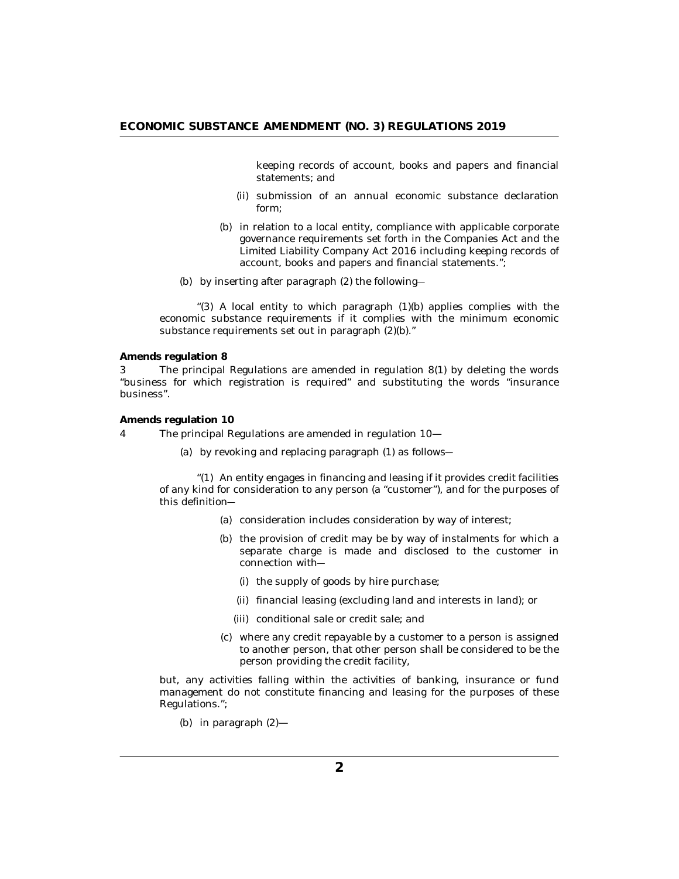<span id="page-1-0"></span>keeping records of account, books and papers and financial statements; and

- (ii) submission of an annual economic substance declaration form;
- (b) in relation to a local entity, compliance with applicable corporate governance requirements set forth in the Companies Act and the Limited Liability Company Act 2016 including keeping records of account, books and papers and financial statements.";
- by inserting after paragraph (2) the following― (b)

"(3) A local entity to which paragraph  $(1)(b)$  applies complies with the economic substance requirements if it complies with the minimum economic substance requirements set out in paragraph (2)(b)."

**Amends regulation 8**

The principal Regulations are amended in regulation 8(1) by deleting the words "business for which registration is required" and substituting the words "insurance business". 3

**Amends regulation 10**

- The principal Regulations are amended in regulation 10— 4
	- by revoking and replacing paragraph (1) as follows― (a)

 $\degree$ (1) An entity engages in financing and leasing if it provides credit facilities of any kind for consideration to any person (a "customer"), and for the purposes of this definition―

- (a) consideration includes consideration by way of interest;
- (b) the provision of credit may be by way of instalments for which a separate charge is made and disclosed to the customer in connection with―
	- (i) the supply of goods by hire purchase;
	- (ii) financial leasing (excluding land and interests in land); or
	- conditional sale or credit sale; and (iii)
- where any credit repayable by a customer to a person is assigned (c) to another person, that other person shall be considered to be the person providing the credit facility,

but, any activities falling within the activities of banking, insurance or fund management do not constitute financing and leasing for the purposes of these Regulations.";

(b) in paragraph  $(2)$ —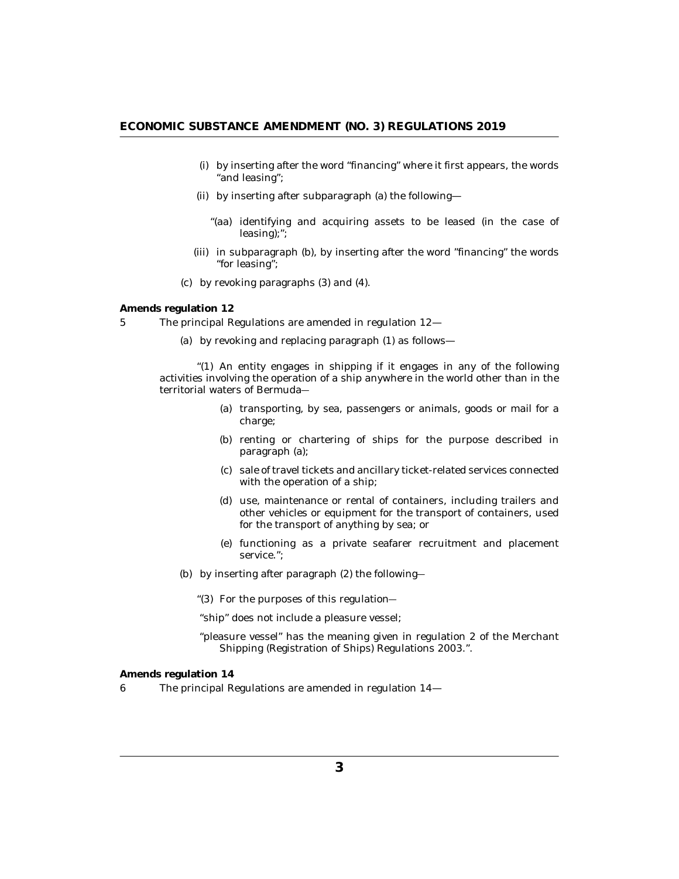- <span id="page-2-0"></span>by inserting after the word "financing" where it first appears, the words (i) "and leasing";
- (ii) by inserting after subparagraph (a) the following-
	- "(aa) identifying and acquiring assets to be leased (in the case of leasing);";
- (iii) in subparagraph (b), by inserting after the word "financing" the words "for leasing";
- by revoking paragraphs (3) and (4). (c)

**Amends regulation 12**

- The principal Regulations are amended in regulation 12— 5
	- by revoking and replacing paragraph (1) as follows— (a)

"(1) An entity engages in shipping if it engages in any of the following activities involving the operation of a ship anywhere in the world other than in the territorial waters of Bermuda―

- (a) transporting, by sea, passengers or animals, goods or mail for a charge;
- (b) renting or chartering of ships for the purpose described in paragraph (a);
- (c) sale of travel tickets and ancillary ticket-related services connected with the operation of a ship;
- (d) use, maintenance or rental of containers, including trailers and other vehicles or equipment for the transport of containers, used for the transport of anything by sea; or
- functioning as a private seafarer recruitment and placement (e) service.";
- by inserting after paragraph (2) the following― (b)
	- "(3) For the purposes of this regulation-

"ship" does not include a pleasure vessel;

"pleasure vessel" has the meaning given in regulation 2 of the Merchant Shipping (Registration of Ships) Regulations 2003.".

**Amends regulation 14**

The principal Regulations are amended in regulation 14— 6